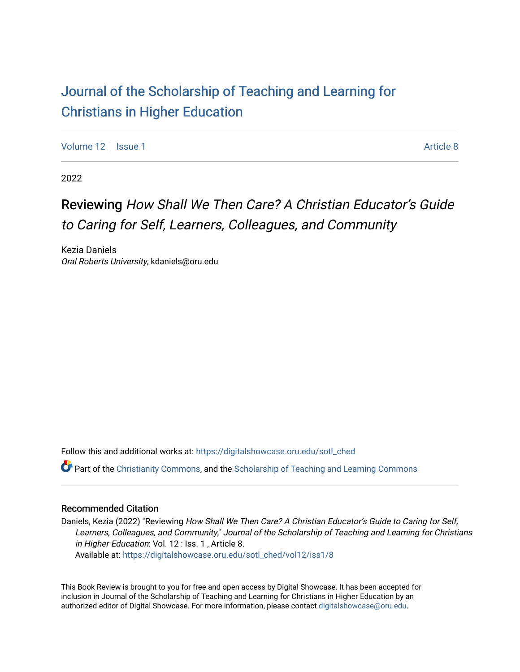## [Journal of the Scholarship of Teaching and Learning for](https://digitalshowcase.oru.edu/sotl_ched)  [Christians in Higher Education](https://digitalshowcase.oru.edu/sotl_ched)

[Volume 12](https://digitalshowcase.oru.edu/sotl_ched/vol12) | [Issue 1](https://digitalshowcase.oru.edu/sotl_ched/vol12/iss1) Article 8

2022

## Reviewing How Shall We Then Care? A Christian Educator's Guide to Caring for Self, Learners, Colleagues, and Community

Kezia Daniels Oral Roberts University, kdaniels@oru.edu

Follow this and additional works at: [https://digitalshowcase.oru.edu/sotl\\_ched](https://digitalshowcase.oru.edu/sotl_ched?utm_source=digitalshowcase.oru.edu%2Fsotl_ched%2Fvol12%2Fiss1%2F8&utm_medium=PDF&utm_campaign=PDFCoverPages) 

**P** Part of the [Christianity Commons,](https://network.bepress.com/hgg/discipline/1181?utm_source=digitalshowcase.oru.edu%2Fsotl_ched%2Fvol12%2Fiss1%2F8&utm_medium=PDF&utm_campaign=PDFCoverPages) and the Scholarship of Teaching and Learning Commons

### Recommended Citation

Daniels, Kezia (2022) "Reviewing How Shall We Then Care? A Christian Educator's Guide to Caring for Self, Learners, Colleagues, and Community," Journal of the Scholarship of Teaching and Learning for Christians in Higher Education: Vol. 12 : Iss. 1, Article 8. Available at: [https://digitalshowcase.oru.edu/sotl\\_ched/vol12/iss1/8](https://digitalshowcase.oru.edu/sotl_ched/vol12/iss1/8?utm_source=digitalshowcase.oru.edu%2Fsotl_ched%2Fvol12%2Fiss1%2F8&utm_medium=PDF&utm_campaign=PDFCoverPages) 

This Book Review is brought to you for free and open access by Digital Showcase. It has been accepted for inclusion in Journal of the Scholarship of Teaching and Learning for Christians in Higher Education by an authorized editor of Digital Showcase. For more information, please contact [digitalshowcase@oru.edu.](mailto:digitalshowcase@oru.edu)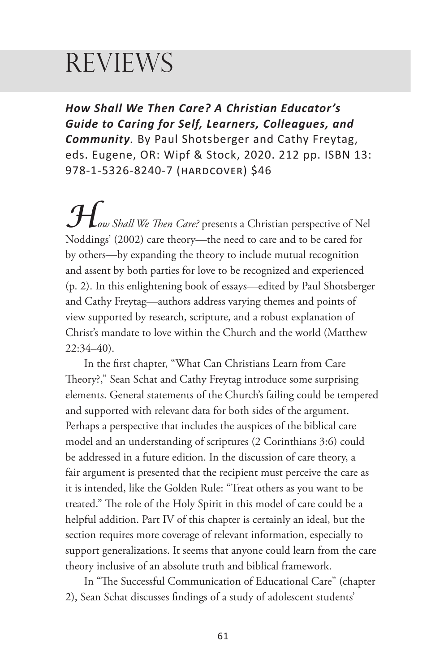# **REVIEWS**

*How Shall We Then Care? A Christian Educator's Guide to Caring for Self, Learners, Colleagues, and Community.* By Paul Shotsberger and Cathy Freytag, eds. Eugene, OR: Wipf & Stock, 2020. 212 pp. ISBN 13: 978-1-5326-8240-7 (hardcover) \$46

*How Shall We Then Care?* presents a Christian perspective of Nel Noddings' (2002) care theory—the need to care and to be cared for by others—by expanding the theory to include mutual recognition and assent by both parties for love to be recognized and experienced (p. 2). In this enlightening book of essays—edited by Paul Shotsberger and Cathy Freytag—authors address varying themes and points of view supported by research, scripture, and a robust explanation of Christ's mandate to love within the Church and the world (Matthew 22:34–40).

In the first chapter, "What Can Christians Learn from Care Theory?," Sean Schat and Cathy Freytag introduce some surprising elements. General statements of the Church's failing could be tempered and supported with relevant data for both sides of the argument. Perhaps a perspective that includes the auspices of the biblical care model and an understanding of scriptures (2 Corinthians 3:6) could be addressed in a future edition. In the discussion of care theory, a fair argument is presented that the recipient must perceive the care as it is intended, like the Golden Rule: "Treat others as you want to be treated." The role of the Holy Spirit in this model of care could be a helpful addition. Part IV of this chapter is certainly an ideal, but the section requires more coverage of relevant information, especially to support generalizations. It seems that anyone could learn from the care theory inclusive of an absolute truth and biblical framework.

In "The Successful Communication of Educational Care" (chapter 2), Sean Schat discusses findings of a study of adolescent students'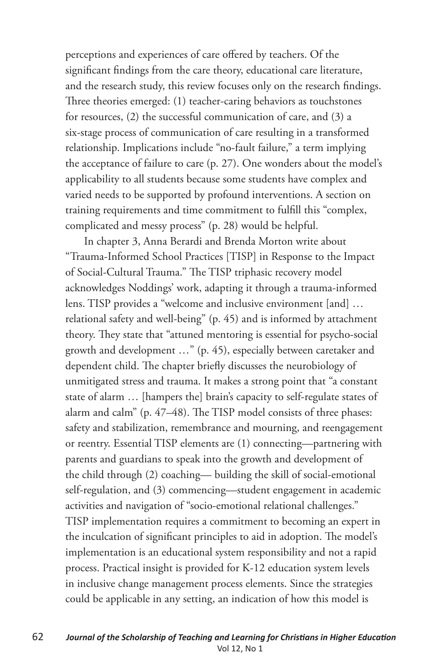perceptions and experiences of care offered by teachers. Of the significant findings from the care theory, educational care literature, and the research study, this review focuses only on the research findings. Three theories emerged: (1) teacher-caring behaviors as touchstones for resources, (2) the successful communication of care, and (3) a six-stage process of communication of care resulting in a transformed relationship. Implications include "no-fault failure," a term implying the acceptance of failure to care (p. 27). One wonders about the model's applicability to all students because some students have complex and varied needs to be supported by profound interventions. A section on training requirements and time commitment to fulfill this "complex, complicated and messy process" (p. 28) would be helpful.

In chapter 3, Anna Berardi and Brenda Morton write about "Trauma-Informed School Practices [TISP] in Response to the Impact of Social-Cultural Trauma." The TISP triphasic recovery model acknowledges Noddings' work, adapting it through a trauma-informed lens. TISP provides a "welcome and inclusive environment [and] … relational safety and well-being" (p. 45) and is informed by attachment theory. They state that "attuned mentoring is essential for psycho-social growth and development …" (p. 45), especially between caretaker and dependent child. The chapter briefly discusses the neurobiology of unmitigated stress and trauma. It makes a strong point that "a constant state of alarm … [hampers the] brain's capacity to self-regulate states of alarm and calm" (p. 47–48). The TISP model consists of three phases: safety and stabilization, remembrance and mourning, and reengagement or reentry. Essential TISP elements are (1) connecting—partnering with parents and guardians to speak into the growth and development of the child through (2) coaching— building the skill of social-emotional self-regulation, and (3) commencing—student engagement in academic activities and navigation of "socio-emotional relational challenges." TISP implementation requires a commitment to becoming an expert in the inculcation of significant principles to aid in adoption. The model's implementation is an educational system responsibility and not a rapid process. Practical insight is provided for K-12 education system levels in inclusive change management process elements. Since the strategies could be applicable in any setting, an indication of how this model is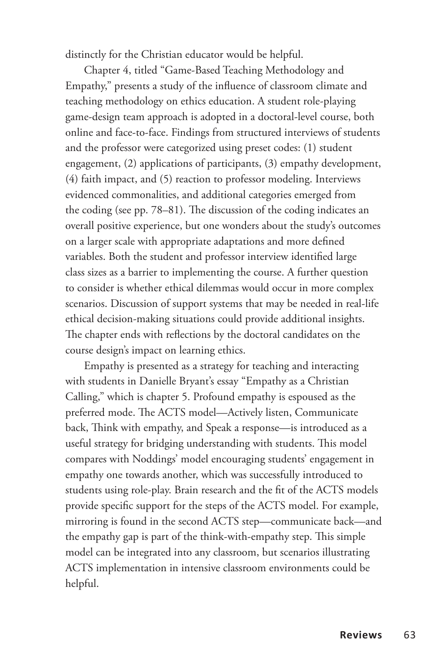distinctly for the Christian educator would be helpful.

Chapter 4, titled "Game-Based Teaching Methodology and Empathy," presents a study of the influence of classroom climate and teaching methodology on ethics education. A student role-playing game-design team approach is adopted in a doctoral-level course, both online and face-to-face. Findings from structured interviews of students and the professor were categorized using preset codes: (1) student engagement, (2) applications of participants, (3) empathy development, (4) faith impact, and (5) reaction to professor modeling. Interviews evidenced commonalities, and additional categories emerged from the coding (see pp. 78–81). The discussion of the coding indicates an overall positive experience, but one wonders about the study's outcomes on a larger scale with appropriate adaptations and more defined variables. Both the student and professor interview identified large class sizes as a barrier to implementing the course. A further question to consider is whether ethical dilemmas would occur in more complex scenarios. Discussion of support systems that may be needed in real-life ethical decision-making situations could provide additional insights. The chapter ends with reflections by the doctoral candidates on the course design's impact on learning ethics.

Empathy is presented as a strategy for teaching and interacting with students in Danielle Bryant's essay "Empathy as a Christian Calling," which is chapter 5. Profound empathy is espoused as the preferred mode. The ACTS model—Actively listen, Communicate back, Think with empathy, and Speak a response—is introduced as a useful strategy for bridging understanding with students. This model compares with Noddings' model encouraging students' engagement in empathy one towards another, which was successfully introduced to students using role-play. Brain research and the fit of the ACTS models provide specific support for the steps of the ACTS model. For example, mirroring is found in the second ACTS step—communicate back—and the empathy gap is part of the think-with-empathy step. This simple model can be integrated into any classroom, but scenarios illustrating ACTS implementation in intensive classroom environments could be helpful.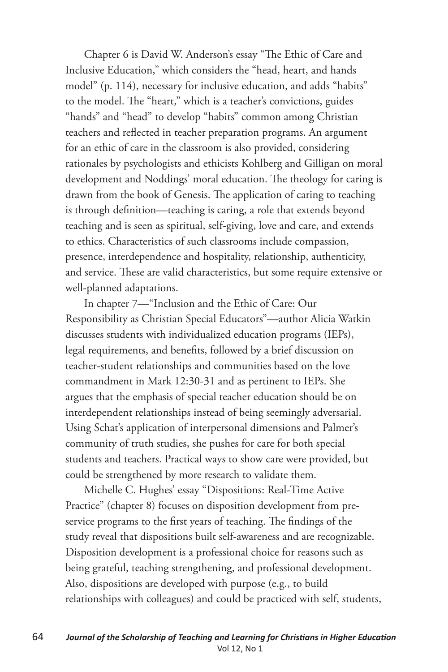Chapter 6 is David W. Anderson's essay "The Ethic of Care and Inclusive Education," which considers the "head, heart, and hands model" (p. 114), necessary for inclusive education, and adds "habits" to the model. The "heart," which is a teacher's convictions, guides "hands" and "head" to develop "habits" common among Christian teachers and reflected in teacher preparation programs. An argument for an ethic of care in the classroom is also provided, considering rationales by psychologists and ethicists Kohlberg and Gilligan on moral development and Noddings' moral education. The theology for caring is drawn from the book of Genesis. The application of caring to teaching is through definition—teaching is caring, a role that extends beyond teaching and is seen as spiritual, self-giving, love and care, and extends to ethics. Characteristics of such classrooms include compassion, presence, interdependence and hospitality, relationship, authenticity, and service. These are valid characteristics, but some require extensive or well-planned adaptations.

In chapter 7—"Inclusion and the Ethic of Care: Our Responsibility as Christian Special Educators"—author Alicia Watkin discusses students with individualized education programs (IEPs), legal requirements, and benefits, followed by a brief discussion on teacher-student relationships and communities based on the love commandment in Mark 12:30-31 and as pertinent to IEPs. She argues that the emphasis of special teacher education should be on interdependent relationships instead of being seemingly adversarial. Using Schat's application of interpersonal dimensions and Palmer's community of truth studies, she pushes for care for both special students and teachers. Practical ways to show care were provided, but could be strengthened by more research to validate them.

Michelle C. Hughes' essay "Dispositions: Real-Time Active Practice" (chapter 8) focuses on disposition development from preservice programs to the first years of teaching. The findings of the study reveal that dispositions built self-awareness and are recognizable. Disposition development is a professional choice for reasons such as being grateful, teaching strengthening, and professional development. Also, dispositions are developed with purpose (e.g., to build relationships with colleagues) and could be practiced with self, students,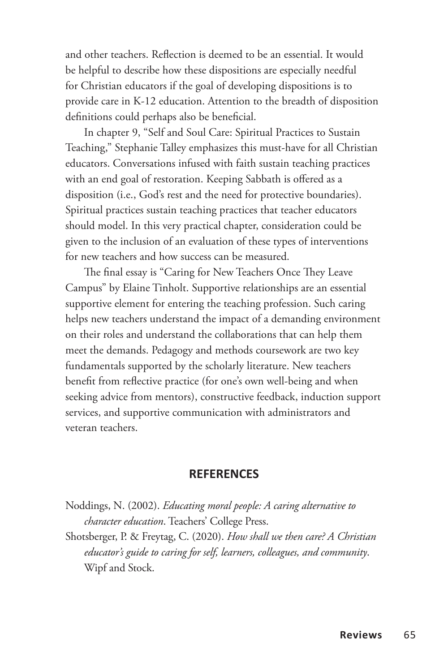and other teachers. Reflection is deemed to be an essential. It would be helpful to describe how these dispositions are especially needful for Christian educators if the goal of developing dispositions is to provide care in K-12 education. Attention to the breadth of disposition definitions could perhaps also be beneficial.

In chapter 9, "Self and Soul Care: Spiritual Practices to Sustain Teaching," Stephanie Talley emphasizes this must-have for all Christian educators. Conversations infused with faith sustain teaching practices with an end goal of restoration. Keeping Sabbath is offered as a disposition (i.e., God's rest and the need for protective boundaries). Spiritual practices sustain teaching practices that teacher educators should model. In this very practical chapter, consideration could be given to the inclusion of an evaluation of these types of interventions for new teachers and how success can be measured.

The final essay is "Caring for New Teachers Once They Leave Campus" by Elaine Tinholt. Supportive relationships are an essential supportive element for entering the teaching profession. Such caring helps new teachers understand the impact of a demanding environment on their roles and understand the collaborations that can help them meet the demands. Pedagogy and methods coursework are two key fundamentals supported by the scholarly literature. New teachers benefit from reflective practice (for one's own well-being and when seeking advice from mentors), constructive feedback, induction support services, and supportive communication with administrators and veteran teachers.

#### **REFERENCES**

- Noddings, N. (2002). *Educating moral people: A caring alternative to character education*. Teachers' College Press.
- Shotsberger, P. & Freytag, C. (2020). *How shall we then care? A Christian educator's guide to caring for self, learners, colleagues, and community*. Wipf and Stock.